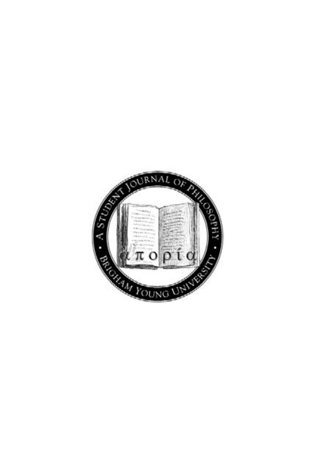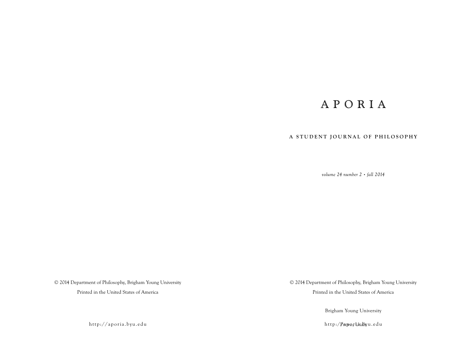# APORIA

### **A STUDENT JOURNAL OF PHILOSOPHY**

*volume 24 number 2 • fall 2014*

© 2014 Department of Philosophy, Brigham Young University

Printed in the United States of America

© 2014 Department of Philosophy, Brigham Young University

Printed in the United States of America

Brigham Young University

http:/**Provo,r latahy**u.edu

http://aporia.byu.edu